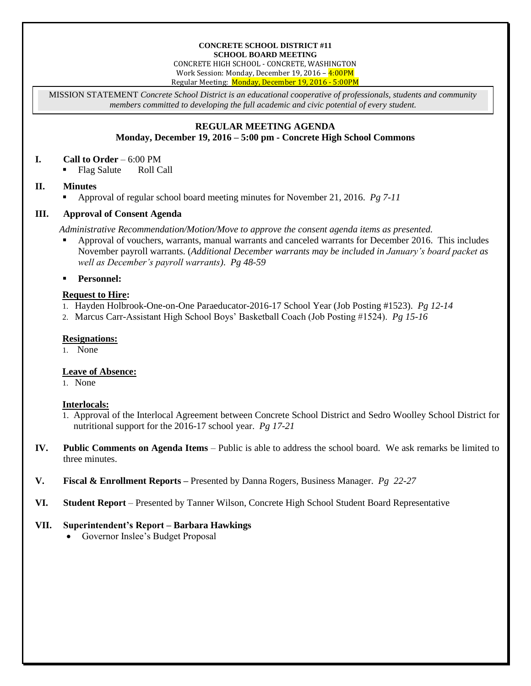#### **CONCRETE SCHOOL DISTRICT #11 SCHOOL BOARD MEETING**

CONCRETE HIGH SCHOOL - CONCRETE, WASHINGTON Work Session: Monday, December 19, 2016 – 4:00PM Regular Meeting: Monday, December 19, 2016 - 5:00PM

MISSION STATEMENT *Concrete School District is an educational cooperative of professionals, students and community members committed to developing the full academic and civic potential of every student.*

# **REGULAR MEETING AGENDA**

## **Monday, December 19, 2016 – 5:00 pm - Concrete High School Commons**

#### **I. Call to Order** – 6:00 PM

• Flag Salute Roll Call

### **II. Minutes**

Approval of regular school board meeting minutes for November 21, 2016. *Pg 7-11*

### **III. Approval of Consent Agenda**

*Administrative Recommendation/Motion/Move to approve the consent agenda items as presented.*

 Approval of vouchers, warrants, manual warrants and canceled warrants for December 2016. This includes November payroll warrants. (*Additional December warrants may be included in January's board packet as well as December's payroll warrants)*. *Pg 48-59*

**Personnel:**

### **Request to Hire:**

- 1. Hayden Holbrook-One-on-One Paraeducator-2016-17 School Year (Job Posting #1523). *Pg 12-14*
- 2. Marcus Carr-Assistant High School Boys' Basketball Coach (Job Posting #1524). *Pg 15-16*

### **Resignations:**

1. None

## **Leave of Absence:**

1. None

## **Interlocals:**

- 1. Approval of the Interlocal Agreement between Concrete School District and Sedro Woolley School District for nutritional support for the 2016-17 school year. *Pg 17-21*
- **IV. Public Comments on Agenda Items** Public is able to address the school board. We ask remarks be limited to three minutes.
- **V. Fiscal & Enrollment Reports –** Presented by Danna Rogers, Business Manager. *Pg 22-27*
- **VI. Student Report** Presented by Tanner Wilson, Concrete High School Student Board Representative

## **VII. Superintendent's Report – Barbara Hawkings**

• Governor Inslee's Budget Proposal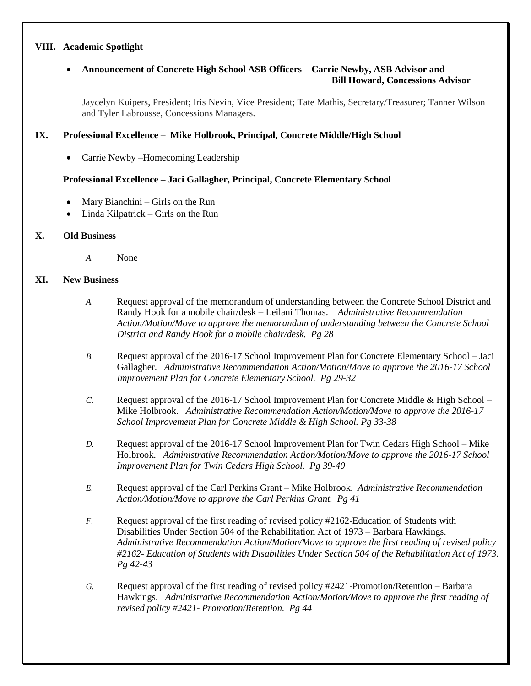#### **VIII. Academic Spotlight**

## **Announcement of Concrete High School ASB Officers – Carrie Newby, ASB Advisor and Bill Howard, Concessions Advisor**

Jaycelyn Kuipers, President; Iris Nevin, Vice President; Tate Mathis, Secretary/Treasurer; Tanner Wilson and Tyler Labrousse, Concessions Managers.

#### **IX. Professional Excellence – Mike Holbrook, Principal, Concrete Middle/High School**

Carrie Newby –Homecoming Leadership

### **Professional Excellence – Jaci Gallagher, Principal, Concrete Elementary School**

- Mary Bianchini Girls on the Run
- Linda Kilpatrick Girls on the Run

### **X. Old Business**

*A.* None

#### **XI. New Business**

- *A.* Request approval of the memorandum of understanding between the Concrete School District and Randy Hook for a mobile chair/desk – Leilani Thomas. *Administrative Recommendation Action/Motion/Move to approve the memorandum of understanding between the Concrete School District and Randy Hook for a mobile chair/desk. Pg 28*
- *B.* Request approval of the 2016-17 School Improvement Plan for Concrete Elementary School Jaci Gallagher. *Administrative Recommendation Action/Motion/Move to approve the 2016-17 School Improvement Plan for Concrete Elementary School. Pg 29-32*
- *C.* Request approval of the 2016-17 School Improvement Plan for Concrete Middle & High School Mike Holbrook. *Administrative Recommendation Action/Motion/Move to approve the 2016-17 School Improvement Plan for Concrete Middle & High School. Pg 33-38*
- *D.* Request approval of the 2016-17 School Improvement Plan for Twin Cedars High School Mike Holbrook. *Administrative Recommendation Action/Motion/Move to approve the 2016-17 School Improvement Plan for Twin Cedars High School. Pg 39-40*
- *E.* Request approval of the Carl Perkins Grant Mike Holbrook. *Administrative Recommendation Action/Motion/Move to approve the Carl Perkins Grant. Pg 41*
- *F.* Request approval of the first reading of revised policy #2162-Education of Students with Disabilities Under Section 504 of the Rehabilitation Act of 1973 – Barbara Hawkings. *Administrative Recommendation Action/Motion/Move to approve the first reading of revised policy #2162- Education of Students with Disabilities Under Section 504 of the Rehabilitation Act of 1973. Pg 42-43*
- *G.* Request approval of the first reading of revised policy #2421-Promotion/Retention Barbara Hawkings. *Administrative Recommendation Action/Motion/Move to approve the first reading of revised policy #2421*- *Promotion/Retention. Pg 44*